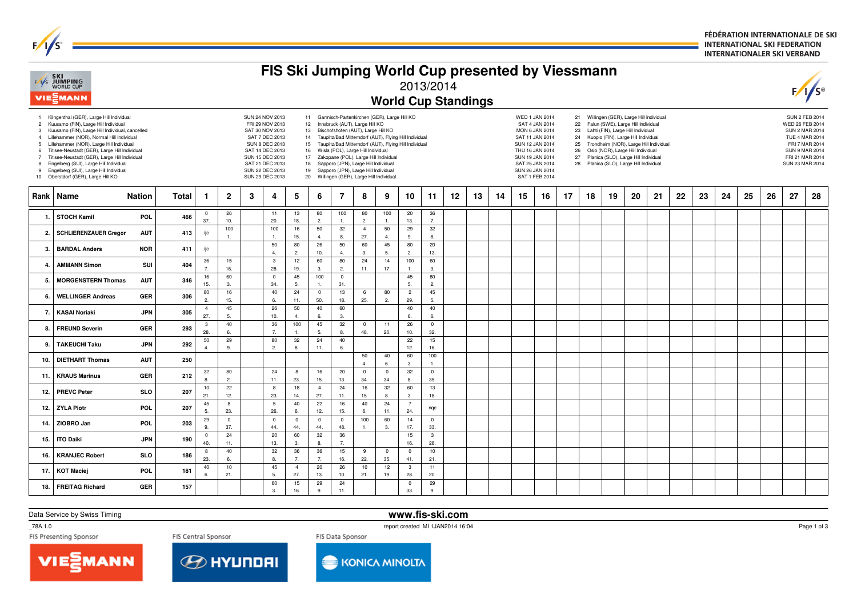FÉDÉRATION INTERNATIONALE DE SKI **INTERNATIONAL SKI FEDERATION INTERNATIONALER SKI VERBAND** 

| FIS Ski Jumping World Cup presented by Viessmann<br>FASKI<br>EXPIDED CUP<br>2013/2014 |                                                                                                                                                                                                                                                                                                                                                                                                                                                                |               |                                                                                                                                                                                                                                                                                                                                                                                                                                                                                                                                                                                                                                                                                                                                                                                                                                                                                                                                                                                                                                                                                                                                                                                                                                                                  |                       |                       |   |                        |                        |                       |                      |                       |                    |                       |                        |                            |    |    | $F/I/S^{\circ}$                                                                                                                                                      |    |    |    |    |    |    |    |    |    |    |    |    |    |
|---------------------------------------------------------------------------------------|----------------------------------------------------------------------------------------------------------------------------------------------------------------------------------------------------------------------------------------------------------------------------------------------------------------------------------------------------------------------------------------------------------------------------------------------------------------|---------------|------------------------------------------------------------------------------------------------------------------------------------------------------------------------------------------------------------------------------------------------------------------------------------------------------------------------------------------------------------------------------------------------------------------------------------------------------------------------------------------------------------------------------------------------------------------------------------------------------------------------------------------------------------------------------------------------------------------------------------------------------------------------------------------------------------------------------------------------------------------------------------------------------------------------------------------------------------------------------------------------------------------------------------------------------------------------------------------------------------------------------------------------------------------------------------------------------------------------------------------------------------------|-----------------------|-----------------------|---|------------------------|------------------------|-----------------------|----------------------|-----------------------|--------------------|-----------------------|------------------------|----------------------------|----|----|----------------------------------------------------------------------------------------------------------------------------------------------------------------------|----|----|----|----|----|----|----|----|----|----|----|----|----|
|                                                                                       | VIEZMANN                                                                                                                                                                                                                                                                                                                                                                                                                                                       |               |                                                                                                                                                                                                                                                                                                                                                                                                                                                                                                                                                                                                                                                                                                                                                                                                                                                                                                                                                                                                                                                                                                                                                                                                                                                                  |                       |                       |   |                        |                        |                       |                      |                       |                    |                       |                        | <b>World Cup Standings</b> |    |    |                                                                                                                                                                      |    |    |    |    |    |    |    |    |    |    |    |    |    |
| 3<br>$\overline{4}$<br>5<br>6<br>$7^{\circ}$<br>8                                     | 1 Klingenthal (GER), Large Hill Individual<br>2 Kuusamo (FIN), Large Hill Individual<br>Kuusamo (FIN), Large Hill Individual, cancelled<br>Lillehammer (NOR), Normal Hill Individual<br>Lillehammer (NOR), Large Hill Individual<br>Titisee-Neustadt (GER), Large Hill Individual<br>Titisee-Neustadt (GER), Large Hill Individual<br>Engelberg (SUI), Large Hill Individual<br>9 Engelberg (SUI), Large Hill Individual<br>10 Oberstdorf (GER), Large Hill KO |               | 21 Willingen (GER), Large Hill Individual<br>SUN 24 NOV 2013<br>11 Garmisch-Partenkirchen (GER), Large Hill KO<br><b>WED 1 JAN 2014</b><br>FRI 29 NOV 2013<br>12 Innsbruck (AUT), Large Hill KO<br>SAT 4 JAN 2014<br>Falun (SWE), Large Hill Individual<br>22<br>13 Bischofshofen (AUT), Large Hill KO<br>Lahti (FIN), Large Hill Individual<br>SAT 30 NOV 2013<br>MON 6 JAN 2014<br>23<br>14 Tauplitz/Bad Mitterndorf (AUT), Flying Hill Individual<br>SAT 7 DEC 2013<br>SAT 11 JAN 2014<br>Kuopio (FIN), Large Hill Individual<br>24<br>SUN 8 DEC 2013<br>Tauplitz/Bad Mitterndorf (AUT), Flying Hill Individual<br>SUN 12 JAN 2014<br>Trondheim (NOR), Large Hill Individual<br>15<br>25<br>SAT 14 DEC 2013<br>Wisla (POL), Large Hill Individual<br>THU 16 JAN 2014<br>Oslo (NOR), Large Hill Individual<br>16<br>26<br>SUN 15 DEC 2013<br>17 Zakopane (POL), Large Hill Individual<br>Planica (SLO), Large Hill Individual<br>SUN 19 JAN 2014<br>27<br>SAT 21 DEC 2013<br>Sapporo (JPN), Large Hill Individual<br>Planica (SLO), Large Hill Individual<br>18<br>SAT 25 JAN 2014<br>28<br>SUN 22 DEC 2013<br>19<br>Sapporo (JPN), Large Hill Individual<br>SUN 26 JAN 2014<br>20 Willingen (GER), Large Hill Individual<br>SUN 29 DEC 2013<br>SAT 1 FEB 2014 |                       |                       |   |                        |                        |                       |                      |                       |                    |                       |                        |                            |    |    | <b>SUN 2 FEB 2014</b><br>WED 26 FEB 2014<br><b>SUN 2 MAR 2014</b><br>TUE 4 MAR 2014<br>FRI 7 MAR 2014<br><b>SUN 9 MAR 2014</b><br>FRI 21 MAR 2014<br>SUN 23 MAR 2014 |    |    |    |    |    |    |    |    |    |    |    |    |    |
| Rank                                                                                  | Name                                                                                                                                                                                                                                                                                                                                                                                                                                                           | <b>Nation</b> | Total                                                                                                                                                                                                                                                                                                                                                                                                                                                                                                                                                                                                                                                                                                                                                                                                                                                                                                                                                                                                                                                                                                                                                                                                                                                            | -1                    | $\overline{2}$        | 3 | 4                      | 5                      | 6                     | 7                    | 8                     | 9                  | 10                    | 11                     | 12                         | 13 | 14 | 15                                                                                                                                                                   | 16 | 17 | 18 | 19 | 20 | 21 | 22 | 23 | 24 | 25 | 26 | 27 | 28 |
| $\mathbf{1}$                                                                          | <b>STOCH Kamil</b>                                                                                                                                                                                                                                                                                                                                                                                                                                             | POL           | 466                                                                                                                                                                                                                                                                                                                                                                                                                                                                                                                                                                                                                                                                                                                                                                                                                                                                                                                                                                                                                                                                                                                                                                                                                                                              | $^{\circ}$<br>37.     | 26<br>10.             |   | 11<br>20.              | 13<br>18.              | 80<br>2.              | 100<br>1.            | 80<br>2.              | 100<br>1.          | 20<br>13.             | 36<br>$\overline{7}$ . |                            |    |    |                                                                                                                                                                      |    |    |    |    |    |    |    |    |    |    |    |    |    |
| $\overline{2}$                                                                        | <b>SCHLIERENZAUER Gregor</b>                                                                                                                                                                                                                                                                                                                                                                                                                                   | <b>AUT</b>    | 413                                                                                                                                                                                                                                                                                                                                                                                                                                                                                                                                                                                                                                                                                                                                                                                                                                                                                                                                                                                                                                                                                                                                                                                                                                                              | ijc                   | 100<br>$\mathbf{1}$   |   | 100<br>1               | 16<br>15.              | 50<br>4.              | 32<br>8.             | $\overline{4}$<br>27. | 50<br>$\mathbf{4}$ | 29<br>9.              | 32<br>8                |                            |    |    |                                                                                                                                                                      |    |    |    |    |    |    |    |    |    |    |    |    |    |
| -3                                                                                    | <b>BARDAL Anders</b>                                                                                                                                                                                                                                                                                                                                                                                                                                           | <b>NOR</b>    | 411                                                                                                                                                                                                                                                                                                                                                                                                                                                                                                                                                                                                                                                                                                                                                                                                                                                                                                                                                                                                                                                                                                                                                                                                                                                              | ijc                   |                       |   | 50<br>$\overline{4}$   | 80<br>2.               | 26<br>10.             | 50<br>$\overline{4}$ | 60<br>3.              | 45<br>5.           | 80<br>$\overline{2}$  | 20<br>13.              |                            |    |    |                                                                                                                                                                      |    |    |    |    |    |    |    |    |    |    |    |    |    |
| $\overline{a}$                                                                        | <b>AMMANN Simon</b>                                                                                                                                                                                                                                                                                                                                                                                                                                            | SUI           | 404                                                                                                                                                                                                                                                                                                                                                                                                                                                                                                                                                                                                                                                                                                                                                                                                                                                                                                                                                                                                                                                                                                                                                                                                                                                              | 36<br>$\overline{7}$  | 15<br>16.             |   | $\mathbf{3}$<br>28.    | 12<br>19.              | 60<br>3.              | 80<br>2.             | 24<br>11.             | 14<br>17.          | 100<br>$\mathbf{1}$ . | 60<br>3.               |                            |    |    |                                                                                                                                                                      |    |    |    |    |    |    |    |    |    |    |    |    |    |
| 5                                                                                     | <b>MORGENSTERN Thomas</b>                                                                                                                                                                                                                                                                                                                                                                                                                                      | <b>AUT</b>    | 346                                                                                                                                                                                                                                                                                                                                                                                                                                                                                                                                                                                                                                                                                                                                                                                                                                                                                                                                                                                                                                                                                                                                                                                                                                                              | 16<br>15.             | 60<br>3.              |   | $\mathbf 0$<br>34.     | 45<br>5.               | 100<br>$\overline{1}$ | $\mathbf{0}$<br>31.  |                       |                    | 45<br>5.              | 80<br>2.               |                            |    |    |                                                                                                                                                                      |    |    |    |    |    |    |    |    |    |    |    |    |    |
| 6                                                                                     | <b>WELLINGER Andreas</b>                                                                                                                                                                                                                                                                                                                                                                                                                                       | <b>GER</b>    | 306                                                                                                                                                                                                                                                                                                                                                                                                                                                                                                                                                                                                                                                                                                                                                                                                                                                                                                                                                                                                                                                                                                                                                                                                                                                              | 80<br>2.              | 16<br>15.             |   | 40<br>6.               | 24<br>11.              | $\overline{0}$<br>50. | 13<br>18.            | 6<br>25.              | 80<br>2.           | $\overline{c}$<br>29. | 45<br>5.               |                            |    |    |                                                                                                                                                                      |    |    |    |    |    |    |    |    |    |    |    |    |    |
| -7.                                                                                   | <b>KASAI Noriaki</b>                                                                                                                                                                                                                                                                                                                                                                                                                                           | <b>JPN</b>    | 305                                                                                                                                                                                                                                                                                                                                                                                                                                                                                                                                                                                                                                                                                                                                                                                                                                                                                                                                                                                                                                                                                                                                                                                                                                                              | $\overline{4}$<br>27. | 45<br>5.              |   | 26<br>10.              | 50<br>$\overline{4}$ . | 40<br>6.              | 60<br>3.             |                       |                    | 40<br>6.              | 40<br>6.               |                            |    |    |                                                                                                                                                                      |    |    |    |    |    |    |    |    |    |    |    |    |    |
| -8.                                                                                   | <b>FREUND Severin</b>                                                                                                                                                                                                                                                                                                                                                                                                                                          | <b>GER</b>    | 293                                                                                                                                                                                                                                                                                                                                                                                                                                                                                                                                                                                                                                                                                                                                                                                                                                                                                                                                                                                                                                                                                                                                                                                                                                                              | 3<br>28.              | 40<br>6.              |   | 36<br>$\overline{7}$   | 100<br>1.              | 45<br>5.              | $32\,$<br>8.         | $\overline{0}$<br>48. | 11<br>20.          | 26<br>10.             | $\mathbf 0$<br>32.     |                            |    |    |                                                                                                                                                                      |    |    |    |    |    |    |    |    |    |    |    |    |    |
| 9                                                                                     | <b>TAKEUCHI Taku</b>                                                                                                                                                                                                                                                                                                                                                                                                                                           | <b>JPN</b>    | 292                                                                                                                                                                                                                                                                                                                                                                                                                                                                                                                                                                                                                                                                                                                                                                                                                                                                                                                                                                                                                                                                                                                                                                                                                                                              | 50<br>$\overline{4}$  | 29<br>9               |   | 80<br>2.               | $32\,$<br>8.           | 24<br>11.             | 40<br>6.             |                       |                    | 22<br>12.             | 15<br>16.              |                            |    |    |                                                                                                                                                                      |    |    |    |    |    |    |    |    |    |    |    |    |    |
| 10.                                                                                   | <b>DIETHART Thomas</b>                                                                                                                                                                                                                                                                                                                                                                                                                                         | <b>AUT</b>    | 250                                                                                                                                                                                                                                                                                                                                                                                                                                                                                                                                                                                                                                                                                                                                                                                                                                                                                                                                                                                                                                                                                                                                                                                                                                                              |                       |                       |   |                        |                        |                       |                      | 50<br>4.              | 40<br>6.           | 60<br>3.              | 100<br>1               |                            |    |    |                                                                                                                                                                      |    |    |    |    |    |    |    |    |    |    |    |    |    |
| 11.                                                                                   | <b>KRAUS Marinus</b>                                                                                                                                                                                                                                                                                                                                                                                                                                           | <b>GER</b>    | 212                                                                                                                                                                                                                                                                                                                                                                                                                                                                                                                                                                                                                                                                                                                                                                                                                                                                                                                                                                                                                                                                                                                                                                                                                                                              | 32<br>8.              | 80<br>$\overline{2}$  |   | 24<br>11.              | 8<br>23.               | 16<br>15.             | 20<br>13.            | $\mathbf 0$<br>34.    | $\pmb{0}$<br>34.   | 32<br>8.              | $\mathbf 0$<br>35.     |                            |    |    |                                                                                                                                                                      |    |    |    |    |    |    |    |    |    |    |    |    |    |
| 12.                                                                                   | <b>PREVC Peter</b>                                                                                                                                                                                                                                                                                                                                                                                                                                             | <b>SLO</b>    | 207                                                                                                                                                                                                                                                                                                                                                                                                                                                                                                                                                                                                                                                                                                                                                                                                                                                                                                                                                                                                                                                                                                                                                                                                                                                              | 10<br>21              | 22<br>12.             |   | 8<br>23.               | 18<br>14.              | $\overline{4}$<br>27. | 24<br>11.            | 16<br>15.             | 32<br>8.           | 60<br>3.              | 13<br>18.              |                            |    |    |                                                                                                                                                                      |    |    |    |    |    |    |    |    |    |    |    |    |    |
| 12.                                                                                   | <b>ZYLA Piotr</b>                                                                                                                                                                                                                                                                                                                                                                                                                                              | <b>POL</b>    | 207                                                                                                                                                                                                                                                                                                                                                                                                                                                                                                                                                                                                                                                                                                                                                                                                                                                                                                                                                                                                                                                                                                                                                                                                                                                              | 45<br>5.              | 8<br>23.              |   | $5\phantom{.0}$<br>26. | 40<br>6.               | 22<br>12.             | 16<br>15.            | 40<br>6.              | 24<br>11.          | $\overline{7}$<br>24. | nqc                    |                            |    |    |                                                                                                                                                                      |    |    |    |    |    |    |    |    |    |    |    |    |    |
| 14.                                                                                   | ZIOBRO Jan                                                                                                                                                                                                                                                                                                                                                                                                                                                     | POL           | 203                                                                                                                                                                                                                                                                                                                                                                                                                                                                                                                                                                                                                                                                                                                                                                                                                                                                                                                                                                                                                                                                                                                                                                                                                                                              | 29<br>9.              | $\overline{0}$<br>37. |   | $\mathbf 0$<br>44.     | $\mathbf 0$<br>44.     | $\mathbf 0$<br>44.    | $\mathbf 0$<br>48.   | 100<br>$\mathbf{1}$   | 60<br>3.           | 14<br>17.             | $\mathbf 0$<br>33.     |                            |    |    |                                                                                                                                                                      |    |    |    |    |    |    |    |    |    |    |    |    |    |
| 15.                                                                                   | <b>ITO Daiki</b>                                                                                                                                                                                                                                                                                                                                                                                                                                               | <b>JPN</b>    | 190                                                                                                                                                                                                                                                                                                                                                                                                                                                                                                                                                                                                                                                                                                                                                                                                                                                                                                                                                                                                                                                                                                                                                                                                                                                              | $^{\circ}$<br>40.     | 24<br>11.             |   | 20<br>13.              | 60<br>3.               | 32<br>8.              | 36<br>7.             |                       |                    | 15<br>16.             | 3<br>28.               |                            |    |    |                                                                                                                                                                      |    |    |    |    |    |    |    |    |    |    |    |    |    |
| 16.                                                                                   | <b>KRANJEC Robert</b>                                                                                                                                                                                                                                                                                                                                                                                                                                          | <b>SLO</b>    | 186                                                                                                                                                                                                                                                                                                                                                                                                                                                                                                                                                                                                                                                                                                                                                                                                                                                                                                                                                                                                                                                                                                                                                                                                                                                              | 8<br>23.              | 40<br>6.              |   | 32<br>8.               | 36<br>7.               | 36<br>7.              | 15<br>16.            | -9<br>22.             | $\mathbf 0$<br>35. | $\overline{0}$<br>41. | 10<br>21.              |                            |    |    |                                                                                                                                                                      |    |    |    |    |    |    |    |    |    |    |    |    |    |
| 17.                                                                                   | <b>KOT Maciej</b>                                                                                                                                                                                                                                                                                                                                                                                                                                              | <b>POL</b>    | 181                                                                                                                                                                                                                                                                                                                                                                                                                                                                                                                                                                                                                                                                                                                                                                                                                                                                                                                                                                                                                                                                                                                                                                                                                                                              | 40<br>6.              | 10<br>21.             |   | 45<br>5.               | $\overline{4}$<br>27.  | 20<br>13.             | 26<br>10.            | 10<br>21.             | 12<br>19.          | $\mathbf{3}$<br>28.   | 11<br>20.              |                            |    |    |                                                                                                                                                                      |    |    |    |    |    |    |    |    |    |    |    |    |    |
| 18.                                                                                   | <b>FREITAG Richard</b>                                                                                                                                                                                                                                                                                                                                                                                                                                         | <b>GER</b>    | 157                                                                                                                                                                                                                                                                                                                                                                                                                                                                                                                                                                                                                                                                                                                                                                                                                                                                                                                                                                                                                                                                                                                                                                                                                                                              |                       |                       |   | 60<br>3.               | 15<br>16.              | 29<br>9.              | 24<br>11.            |                       |                    | $\overline{0}$<br>33. | 29<br>9                |                            |    |    |                                                                                                                                                                      |    |    |    |    |    |    |    |    |    |    |    |    |    |

Data Service by Swiss Timing

**www.fis-ski.com**

\_78A 1.0

 $F/I/S^c$ 

report created MI 1JAN2014 16:04





KONICA MINOLTA

Page 1 of 3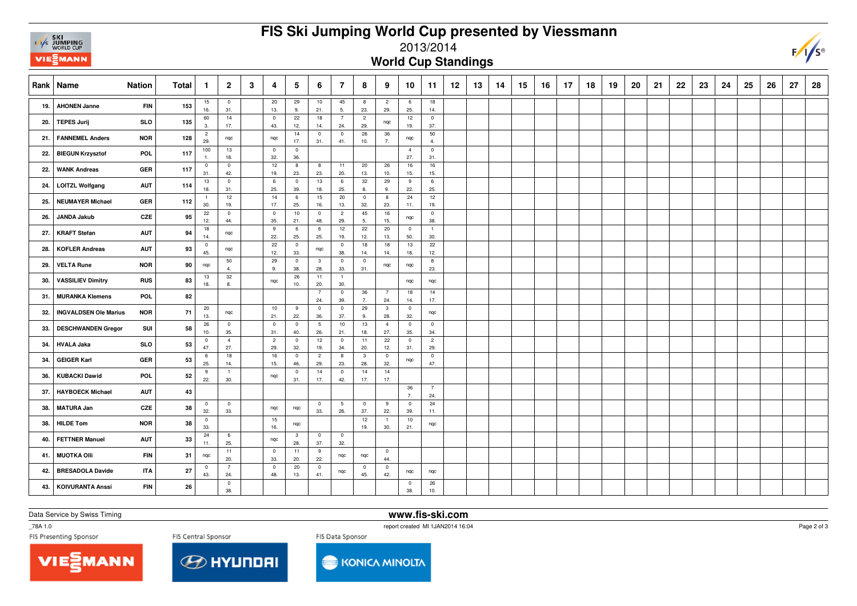| s<br><b>NONE TOP</b> |
|----------------------|
|                      |

## **FIS Ski Jumping World Cup presented by Viessmann**

## 2013/2014

**World Cup Standings**

|     | <b>Nation</b><br>Rank   Name |            | Total      | -1                             | $\overline{2}$        | 3 | 4                     | 5                     | 6                      | $\overline{7}$        | 8                              | 9                     | 10                    | -11                     | $12 \,$ | 13 | 14 | 15 | 16 | 17 | 18 | 19 | 20 | 21 | 22 | 23 | 24 | 25 | 26 | 27 | 28 |
|-----|------------------------------|------------|------------|--------------------------------|-----------------------|---|-----------------------|-----------------------|------------------------|-----------------------|--------------------------------|-----------------------|-----------------------|-------------------------|---------|----|----|----|----|----|----|----|----|----|----|----|----|----|----|----|----|
| 19. | <b>AHONEN Janne</b>          | <b>FIN</b> | 153        | 15<br>16.                      | $\overline{0}$<br>31. |   | 20<br>13.             | 29<br>9.              | 10<br>21.              | 45<br>5.              | 8<br>23.                       | $\overline{2}$<br>29. | 6<br>25.              | 18<br>14.               |         |    |    |    |    |    |    |    |    |    |    |    |    |    |    |    |    |
| 20. | <b>TEPES Jurij</b>           | <b>SLO</b> | 135        | 60<br>3.                       | 14<br>17.             |   | $\pmb{0}$<br>43.      | 22<br>12.             | 18<br>14.              | $\overline{7}$<br>24. | $\overline{2}$<br>29.          | nqc                   | 12<br>19.             | $\overline{0}$<br>37.   |         |    |    |    |    |    |    |    |    |    |    |    |    |    |    |    |    |
| 21. | <b>FANNEMEL Anders</b>       | <b>NOR</b> | 128        | $\overline{2}$<br>29.          | ngc                   |   | nqc                   | 14<br>17.             | $\mathbf 0$<br>31.     | $\mathbf 0$<br>41.    | 26<br>10.                      | 36<br>7.              | nqc                   | 50<br>$\overline{4}$    |         |    |    |    |    |    |    |    |    |    |    |    |    |    |    |    |    |
| 22. | <b>BIEGUN Krzysztof</b>      | <b>POL</b> | 117        | 100<br>$\overline{1}$          | 13<br>18.             |   | $\overline{0}$<br>32. | $\mathbb O$<br>36.    |                        |                       |                                |                       | $\overline{4}$<br>27. | $\mathbf 0$<br>31.      |         |    |    |    |    |    |    |    |    |    |    |    |    |    |    |    |    |
| 22. | <b>WANK Andreas</b>          | <b>GER</b> | 117        | $\overline{\mathbf{0}}$<br>31. | $\mathbf 0$<br>42.    |   | 12<br>19.             | 8<br>23.              | 8<br>23.               | 11<br>20.             | 20<br>13.                      | 26<br>10.             | 16<br>15.             | 16<br>15.               |         |    |    |    |    |    |    |    |    |    |    |    |    |    |    |    |    |
| 24. | <b>LOITZL Wolfgang</b>       | <b>AUT</b> | 114        | 13<br>18.                      | $\pmb{0}$<br>31.      |   | 6<br>25.              | $\overline{0}$<br>39. | 13<br>18.              | 6<br>25.              | 32<br>8.                       | 29<br>9.              | 9<br>22.              | 6<br>25.                |         |    |    |    |    |    |    |    |    |    |    |    |    |    |    |    |    |
| 25. | <b>NEUMAYER Michael</b>      | <b>GER</b> | 112        | $\overline{1}$<br>30.          | 12<br>19.             |   | 14<br>17.             | 6<br>25.              | 15<br>16.              | 20<br>13.             | $\overline{0}$<br>32.          | 8<br>23.              | 24<br>11.             | 12<br>19.               |         |    |    |    |    |    |    |    |    |    |    |    |    |    |    |    |    |
| 26. | <b>JANDA Jakub</b>           | CZE        | 95         | 22<br>12.                      | $\mathbf 0$<br>44.    |   | $\overline{0}$<br>35. | 10<br>21.             | $\overline{0}$<br>48.  | $\overline{c}$<br>29. | 45<br>5.                       | 16<br>15.             | nqc                   | $\mathbb O$<br>38.      |         |    |    |    |    |    |    |    |    |    |    |    |    |    |    |    |    |
| 27. | <b>KRAFT Stefan</b>          | <b>AUT</b> | 94         | 18<br>14.                      | nqc                   |   | 9<br>22.              | $\,6\,$<br>25.        | 6<br>25.               | 12<br>19.             | 22<br>12.                      | 20<br>13.             | $\overline{0}$<br>50. | $\overline{1}$<br>30.   |         |    |    |    |    |    |    |    |    |    |    |    |    |    |    |    |    |
| 28. | <b>KOFLER Andreas</b>        | <b>AUT</b> | 93         | $\overline{\mathbf{0}}$<br>45. | nqc                   |   | 22<br>12.             | $\pmb{0}$<br>33.      | nqc                    | $\overline{0}$<br>38. | 18<br>14.                      | 18<br>14.             | 13<br>18.             | 22<br>12.               |         |    |    |    |    |    |    |    |    |    |    |    |    |    |    |    |    |
| 29. | <b>VELTA Rune</b>            | <b>NOR</b> | 90         | nqc                            | 50<br>4.              |   | 29<br>9.              | $\overline{0}$<br>38. | $\mathbf{3}$<br>28.    | $\overline{0}$<br>33. | $\mathbf 0$<br>31.             | nqc                   | nqc                   | $\boldsymbol{8}$<br>23. |         |    |    |    |    |    |    |    |    |    |    |    |    |    |    |    |    |
| 30. | <b>VASSILIEV Dimitry</b>     | <b>RUS</b> | 83         | 13<br>18.                      | $32\,$<br>8.          |   | nqc                   | 26<br>10.             | 11<br>20.              | $\overline{1}$<br>30. |                                |                       | nqc                   | nqc                     |         |    |    |    |    |    |    |    |    |    |    |    |    |    |    |    |    |
| 31. | <b>MURANKA Klemens</b>       | <b>POL</b> | 82         |                                |                       |   |                       |                       | $\overline{7}$<br>24.  | $\overline{0}$<br>39. | 36<br>7.                       | $7^{\circ}$<br>24.    | 18<br>14.             | 14<br>17.               |         |    |    |    |    |    |    |    |    |    |    |    |    |    |    |    |    |
| 32. | <b>INGVALDSEN Ole Marius</b> | <b>NOR</b> | 71         | 20<br>13.                      | nqc                   |   | 10<br>21.             | 9<br>22.              | $\overline{0}$<br>36.  | $\mathbf 0$<br>37.    | 29<br>9.                       | $\mathbf{3}$<br>28.   | $\overline{0}$<br>32. | nqc                     |         |    |    |    |    |    |    |    |    |    |    |    |    |    |    |    |    |
| 33. | <b>DESCHWANDEN Gregor</b>    | SUI        | 58         | 26<br>10.                      | $\mathbf 0$<br>35.    |   | $\mathbf 0$<br>31.    | $\pmb{0}$<br>40.      | $5\phantom{.0}$<br>26. | 10<br>21.             | 13<br>18.                      | $\overline{4}$<br>27. | $\overline{0}$<br>35. | $\overline{0}$<br>34.   |         |    |    |    |    |    |    |    |    |    |    |    |    |    |    |    |    |
| 34. | <b>HVALA Jaka</b>            | <b>SLO</b> | 53         | $\overline{\mathbf{0}}$<br>47. | $\overline{4}$<br>27. |   | $\overline{2}$<br>29. | $\mathbf{0}$<br>32.   | 12<br>19.              | $\overline{0}$<br>34. | 11<br>20.                      | 22<br>12.             | $\overline{0}$<br>31. | $\overline{2}$<br>29.   |         |    |    |    |    |    |    |    |    |    |    |    |    |    |    |    |    |
| 34. | <b>GEIGER Karl</b>           | GER        | 53         | 6<br>25.                       | 18<br>14.             |   | 16<br>15.             | $\mathbf 0$<br>46.    | $\overline{c}$<br>29.  | 8<br>23.              | $\overline{\mathbf{3}}$<br>28. | $\mathbf{0}$<br>32.   | nqc                   | $\mathbf 0$<br>47.      |         |    |    |    |    |    |    |    |    |    |    |    |    |    |    |    |    |
| 36. | <b>KUBACKI Dawid</b>         | POL        | ${\bf 52}$ | 9<br>22.                       | $\overline{1}$<br>30. |   | nqc                   | $\pmb{0}$<br>31.      | 14<br>17.              | $\mathbf 0$<br>42.    | 14<br>17.                      | 14<br>17.             |                       |                         |         |    |    |    |    |    |    |    |    |    |    |    |    |    |    |    |    |
| 37. | <b>HAYBOECK Michael</b>      | <b>AUT</b> | 43         |                                |                       |   |                       |                       |                        |                       |                                |                       | 36<br>$\overline{7}$  | $\overline{7}$<br>24.   |         |    |    |    |    |    |    |    |    |    |    |    |    |    |    |    |    |
| 38. | <b>MATURA Jan</b>            | CZE        | 38         | $\overline{\mathbf{0}}$<br>32. | $\overline{0}$<br>33. |   | nqc                   | nqc                   | $\overline{0}$<br>33.  | 5<br>26.              | $\overline{0}$<br>37.          | 9<br>22.              | $\overline{0}$<br>39. | 24<br>11.               |         |    |    |    |    |    |    |    |    |    |    |    |    |    |    |    |    |
| 38. | <b>HILDE Tom</b>             | <b>NOR</b> | 38         | $\overline{\mathbf{0}}$<br>33. |                       |   | 15<br>16.             | nqc                   |                        |                       | 12<br>19.                      | $\overline{1}$<br>30. | 10<br>21.             | nqc                     |         |    |    |    |    |    |    |    |    |    |    |    |    |    |    |    |    |
| 40. | <b>FETTNER Manuel</b>        | <b>AUT</b> | 33         | 24<br>11.                      | 6<br>25.              |   | nqc                   | $\mathbf{3}$<br>28.   | $\overline{0}$<br>37.  | $\mathbf 0$<br>32.    |                                |                       |                       |                         |         |    |    |    |    |    |    |    |    |    |    |    |    |    |    |    |    |
| 41. | <b>MUOTKA Olli</b>           | <b>FIN</b> | 31         | nqc                            | 11<br>20.             |   | $\mathbf{0}$<br>33.   | 11<br>20.             | 9<br>22.               | nqc                   | nqc                            | $\overline{0}$<br>44. |                       |                         |         |    |    |    |    |    |    |    |    |    |    |    |    |    |    |    |    |
| 42. | <b>BRESADOLA Davide</b>      | <b>ITA</b> | 27         | $\overline{0}$<br>43.          | $\overline{7}$<br>24. |   | $\mathsf 0$<br>48.    | 20<br>13.             | $\overline{0}$<br>41.  | nqc                   | $\overline{0}$<br>45.          | $\overline{0}$<br>42. | nqc                   | nqc                     |         |    |    |    |    |    |    |    |    |    |    |    |    |    |    |    |    |
| 43. | <b>KOIVURANTA Anssi</b>      | <b>FIN</b> | 26         |                                | $\mathbf 0$<br>38.    |   |                       |                       |                        |                       |                                |                       | $\overline{0}$<br>38. | 26<br>10.               |         |    |    |    |    |    |    |    |    |    |    |    |    |    |    |    |    |

Data Service by Swiss Timing

**www.fis-ski.com**

\_78A 1.0

report created MI 1JAN2014 16:04

Page 2 of 3

 $F/\sqrt{s}$